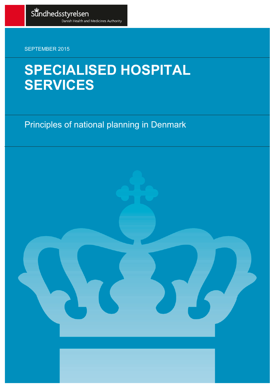SEPTEMBER 2015

# **SPECIALISED HOSPITAL** SERVICES

Principles of national planning in Denmark

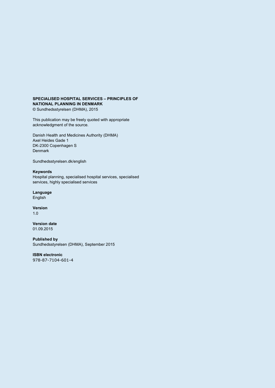#### **SPECIALISED HOSPITAL SERVICES – PRINCIPLES OF NATIONAL PLANNING IN DENMARK**

© Sundhedsstyrelsen (DHMA), 2015

This publication may be freely quoted with appropriate acknowledgment of the source.

Danish Health and Medicines Authority (DHMA) Axel Heides Gade 1 DK-2300 Copenhagen S Denmark

Sundhedsstyrelsen.dk/english

#### **Keywords**

Hospital planning, specialised hospital services, specialised services, highly specialised services

#### **Language**

English

**Version** 1.0

**Version date** 01.09.2015

**Published by** Sundhedsstyrelsen (DHMA), September 2015

**ISBN electronic** 978-87-7104-601-4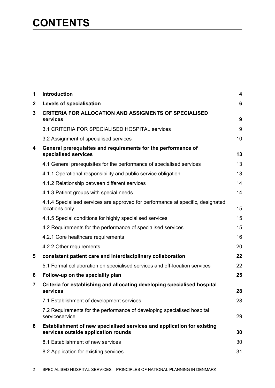# **CONTENTS**

| 1 | Introduction                                                                                                  | 4  |
|---|---------------------------------------------------------------------------------------------------------------|----|
| 2 | Levels of specialisation                                                                                      | 6  |
| 3 | <b>CRITERIA FOR ALLOCATION AND ASSIGMENTS OF SPECIALISED</b><br>services                                      | 9  |
|   | 3.1 CRITERIA FOR SPECIALISED HOSPITAL services                                                                | 9  |
|   | 3.2 Assignment of specialised services                                                                        | 10 |
| 4 | General prerequisites and requirements for the performance of<br>specialised services                         | 13 |
|   | 4.1 General prerequisites for the performance of specialised services                                         | 13 |
|   | 4.1.1 Operational responsibility and public service obligation                                                | 13 |
|   | 4.1.2 Relationship between different services                                                                 | 14 |
|   | 4.1.3 Patient groups with special needs                                                                       | 14 |
|   | 4.1.4 Specialised services are approved for performance at specific, designated<br>locations only             | 15 |
|   | 4.1.5 Special conditions for highly specialised services                                                      | 15 |
|   | 4.2 Requirements for the performance of specialised services                                                  | 15 |
|   | 4.2.1 Core healthcare requirements                                                                            | 16 |
|   | 4.2.2 Other requirements                                                                                      | 20 |
| 5 | consistent patient care and interdisciplinary collaboration                                                   | 22 |
|   | 5.1 Formal collaboration on specialised services and off-location services                                    | 22 |
| 6 | Follow-up on the speciality plan                                                                              | 25 |
| 7 | Criteria for establishing and allocating developing specialised hospital<br>services                          | 28 |
|   | 7.1 Establishment of development services                                                                     | 28 |
|   | 7.2 Requirements for the performance of developing specialised hospital<br>serviceservice                     | 29 |
| 8 | Establishment of new specialised services and application for existing<br>services outside application rounds | 30 |
|   | 8.1 Establishment of new services                                                                             | 30 |
|   | 8.2 Application for existing services                                                                         | 31 |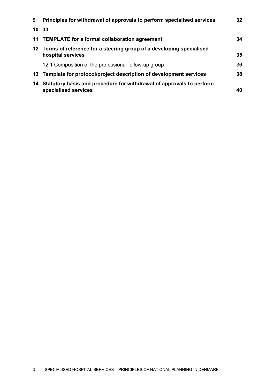| 9  | Principles for withdrawal of approvals to perform specialised services                       | 32 |
|----|----------------------------------------------------------------------------------------------|----|
|    | 10 33                                                                                        |    |
|    | 11 TEMPLATE for a formal collaboration agreement                                             | 34 |
|    | 12 Terms of reference for a steering group of a developing specialised<br>hospital services  | 35 |
|    | 12.1 Composition of the professional follow-up group                                         | 36 |
|    | 13 Template for protocol/project description of development services                         | 38 |
| 14 | Statutory basis and procedure for withdrawal of approvals to perform<br>specialised services | 40 |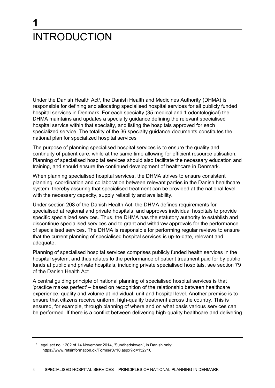# <span id="page-4-0"></span>**1 INTRODUCTION**

Under the Danish Health Act<sup>1</sup>, the Danish Health and Medicines Authority (DHMA) is responsible for defining and allocating specialised hospital services for all publicly funded hospital services in Denmark. For each specialty (35 medical and 1 odontological) the DHMA maintains and updates a specialty guidance defining the relevant specialised hospital service within that specialty, and listing the hospitals approved for each specialized service. The totality of the 36 specialty guidance documents constitutes the national plan for specialized hospital services

The purpose of planning specialised hospital services is to ensure the quality and continuity of patient care, while at the same time allowing for efficient resource utilisation. Planning of specialised hospital services should also facilitate the necessary education and training, and should ensure the continued development of healthcare in Denmark.

When planning specialised hospital services, the DHMA strives to ensure consistent planning, coordination and collaboration between relevant parties in the Danish healthcare system, thereby assuring that specialised treatment can be provided at the national level with the necessary capacity, supply reliability and availability.

Under section 208 of the Danish Health Act, the DHMA defines requirements for specialised at regional and private hospitals, and approves individual hospitals to provide specific specialized services. Thus, the DHMA has the statutory authority to establish and discontinue specialised services and to grant and withdraw approvals for the performance of specialised services. The DHMA is responsible for performing regular reviews to ensure that the current planning of specialised hospital services is up-to-date, relevant and adequate.

Planning of specialised hospital services comprises publicly funded health services in the hospital system, and thus relates to the performance of patient treatment paid for by public funds at public and private hospitals, including private specialised hospitals, see section 79 of the Danish Health Act.

A central guiding principle of national planning of specialised hospital services is that 'practice makes perfect' – based on recognition of the relationship between healthcare experience, quality and volume at individual, unit and hospital level. Another premise is to ensure that citizens receive uniform, high-quality treatment across the country. This is ensured, for example, through planning of where and on what basis various services can be performed. If there is a conflict between delivering high-quality healthcare and delivering

<sup>1</sup> Legal act no. 1202 of 14 November 2014, 'Sundhedsloven', in Danish only: https://www.retsinformation.dk/Forms/r0710.aspx?id=152710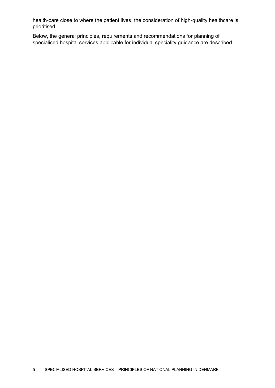health-care close to where the patient lives, the consideration of high-quality healthcare is prioritised.

Below, the general principles, requirements and recommendations for planning of specialised hospital services applicable for individual speciality guidance are described.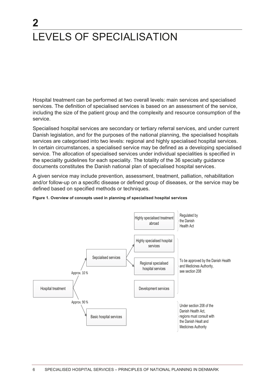# <span id="page-6-0"></span> $\mathbf{2}$ LEVELS OF SPECIALISATION

Hospital treatment can be performed at two overall levels: main services and specialised services. The definition of specialised services is based on an assessment of the service, including the size of the patient group and the complexity and resource consumption of the service.

Specialised hospital services are secondary or tertiary referral services, and under current Danish legislation, and for the purposes of the national planning, the specialised hospitals services are categorised into two levels: regional and highly specialised hospital services. In certain circumstances, a specialised service may be defined as a developing specialised service. The allocation of specialised services under individual specialities is specified in the speciality guidelines for each speciality. The totality of the 36 specialty guidance documents constitutes the Danish national plan of specialised hospital services.

A given service may include prevention, assessment, treatment, palliation, rehabilitation and/or follow-up on a specific disease or defined group of diseases, or the service may be defined based on specified methods or techniques.



Figure 1. Overview of concepts used in planning of specialised hospital services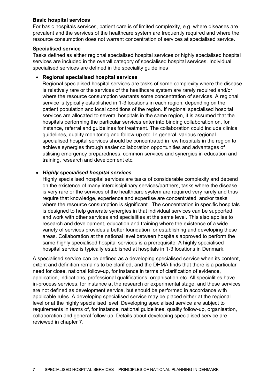### **Basic hospital services**

For basic hospitals services, patient care is of limited complexity, e.g. where diseases are prevalent and the services of the healthcare system are frequently required and where the resource consumption does not warrant concentration of services at specialised service.

#### **Specialised service**

Tasks defined as either regional specialised hospital services or highly specialised hospital services are included in the overall category of specialised hospital services. Individual specialised services are defined in the speciality guidelines

### **Regional specialised hospital services**

Regional specialised hospital services are tasks of some complexity where the disease is relatively rare or the services of the healthcare system are rarely required and/or where the resource consumption warrants some concentration of services. A regional service is typically established in 1-3 locations in each region, depending on the patient population and local conditions of the region. If regional specialised hospital services are allocated to several hospitals in the same region, it is assumed that the hospitals performing the particular services enter into binding collaboration on, for instance, referral and guidelines for treatment. The collaboration could include clinical guidelines, quality monitoring and follow-up etc. In general, various regional specialised hospital services should be concentrated in few hospitals in the region to achieve synergies through easier collaboration opportunities and advantages of utilising emergency preparedness, common services and synergies in education and training, research and development etc.

### *Highly specialised hospital services*

Highly specialised hospital services are tasks of considerable complexity and depend on the existence of many interdisciplinary services/partners, tasks where the disease is very rare or the services of the healthcare system are required very rarely and thus require that knowledge, experience and expertise are concentrated, and/or tasks where the resource consumption is significant. The concentration in specific hospitals is designed to help generate synergies in that individual services can be supported and work with other services and specialities at the same level. This also applies to research and development, education and training where the existence of a wide variety of services provides a better foundation for establishing and developing these areas. Collaboration at the national level between hospitals approved to perform the same highly specialised hospital services is a prerequisite. A highly specialised hospital service is typically established at hospitals in 1-3 locations in Denmark.

A specialised service can be defined as a developing specialised service when its content, extent and definition remains to be clarified, and the DHMA finds that there is a particular need for close, national follow-up, for instance in terms of clarification of evidence, application, indications, professional qualifications, organisation etc. All specialities have in-process services, for instance at the research or experimental stage, and these services are not defined as development service, but should be performed in accordance with applicable rules. A developing specialised service may be placed either at the regional level or at the highly specialised level. Developing specialised service are subject to requirements in terms of, for instance, national guidelines, quality follow-up, organisation, collaboration and general follow-up. Details about developing specialised service are reviewed in chapter 7.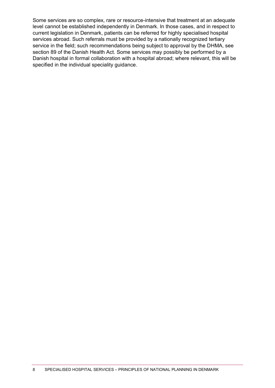Some services are so complex, rare or resource-intensive that treatment at an adequate level cannot be established independently in Denmark. In those cases, and in respect to current legislation in Denmark, patients can be referred for highly specialised hospital services abroad. Such referrals must be provided by a nationally recognized tertiary service in the field; such recommendations being subject to approval by the DHMA, see section 89 of the Danish Health Act. Some services may possibly be performed by a Danish hospital in formal collaboration with a hospital abroad; where relevant, this will be specified in the individual speciality guidance.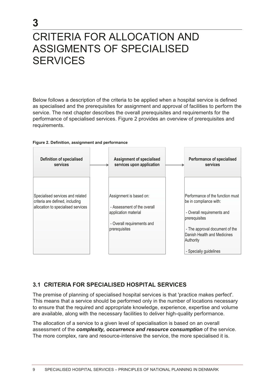# <span id="page-9-0"></span>CRITERIA FOR ALLOCATION AND ASSIGMENTS OF SPECIALISED SERVICES

Below follows a description of the criteria to be applied when a hospital service is defined as specialised and the prerequisites for assignment and approval of facilities to perform the service. The next chapter describes the overall prerequisites and requirements for the performance of specialised services. Figure 2 provides an overview of prerequisites and requirements.



3



### <span id="page-9-1"></span>**3.1 CRITERIA FOR SPECIALISED HOSPITAL SERVICES**

The premise of planning of specialised hospital services is that 'practice makes perfect'. This means that a service should be performed only in the number of locations necessary to ensure that the required and appropriate knowledge, experience, expertise and volume are available, along with the necessary facilities to deliver high-quality performance.

The allocation of a service to a given level of specialisation is based on an overall assessment of the *complexity, occurrence and resource consumption* of the service. The more complex, rare and resource-intensive the service, the more specialised it is.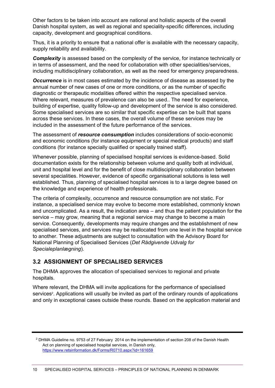Other factors to be taken into account are national and holistic aspects of the overall Danish hospital system, as well as regional and speciality-specific differences, including capacity, development and geographical conditions.

Thus, it is a priority to ensure that a national offer is available with the necessary capacity, supply reliability and availability.

*Complexity* is assessed based on the complexity of the service, for instance technically or in terms of assessment, and the need for collaboration with other specialities/services, including multidisciplinary collaboration, as well as the need for emergency preparedness.

*Occurrence* is in most cases estimated by the incidence of disease as assessed by the annual number of new cases of one or more conditions, or as the number of specific diagnostic or therapeutic modalities offered within the respective specialised service. Where relevant, measures of prevalence can also be used.. The need for experience, building of expertise, quality follow-up and development of the service is also considered. Some specialised services are so similar that specific expertise can be built that spans across these services. In these cases, the overall volume of these services may be included in the assessment of the future performance of the services.

The assessment of *resource consumption* includes considerations of socio-economic and economic conditions (for instance equipment or special medical products) and staff conditions (for instance specially qualified or specially trained staff).

Whenever possible, planning of specialised hospital services is evidence-based. Solid documentation exists for the relationship between volume and quality both at individual, unit and hospital level and for the benefit of close multidisciplinary collaboration between several specialities. However, evidence of specific organisational solutions is less well established. Thus, planning of specialised hospital services is to a large degree based on the knowledge and experience of health professionals.

The criteria of complexity, occurrence and resource consumption are not static. For instance, a specialised service may evolve to become more established, commonly known and uncomplicated. As a result, the indication area – and thus the patient population for the service – may grow, meaning that a regional service may change to become a main service. Consequently, developments may require changes and the establishment of new specialised services, and services may be reallocated from one level in the hospital service to another. These adjustments are subject to consultation with the Advisory Board for National Planning of Specialised Services (*Det Rådgivende Udvalg for Specialeplanlægning*).

### <span id="page-10-0"></span>**3.2 ASSIGNMENT OF SPECIALISED SERVICES**

The DHMA approves the allocation of specialised services to regional and private hospitals.

Where relevant, the DHMA will invite applications for the performance of specialised services<sup>2</sup>. Applications will usually be invited as part of the ordinary rounds of applications and only in exceptional cases outside these rounds. Based on the application material and

<sup>2</sup> DHMA Guideline no. 9753 of 27 February 2014 on the implementation of section 208 of the Danish Health Act on planning of specialised hospital services, in Danish only, <https://www.retsinformation.dk/Forms/R0710.aspx?id=161659>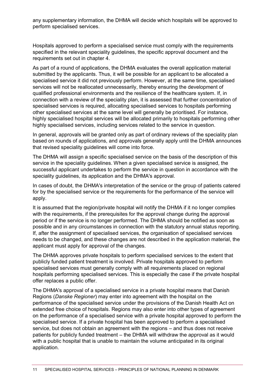any supplementary information, the DHMA will decide which hospitals will be approved to perform specialised services.

Hospitals approved to perform a specialised service must comply with the requirements specified in the relevant speciality guidelines, the specific approval document and the requirements set out in chapter 4.

As part of a round of applications, the DHMA evaluates the overall application material submitted by the applicants. Thus, it will be possible for an applicant to be allocated a specialised service it did not previously perform. However, at the same time, specialised services will not be reallocated unnecessarily, thereby ensuring the development of qualified professional environments and the resilience of the healthcare system. If, in connection with a review of the speciality plan, it is assessed that further concentration of specialised services is required, allocating specialised services to hospitals performing other specialised services at the same level will generally be prioritised. For instance, highly specialised hospital services will be allocated primarily to hospitals performing other highly specialised services, including services related to the service in question.

In general, approvals will be granted only as part of ordinary reviews of the speciality plan based on rounds of applications, and approvals generally apply until the DHMA announces that revised speciality guidelines will come into force.

The DHMA will assign a specific specialised service on the basis of the description of this service in the speciality guidelines. When a given specialised service is assigned, the successful applicant undertakes to perform the service in question in accordance with the speciality guidelines, its application and the DHMA's approval.

In cases of doubt, the DHMA's interpretation of the service or the group of patients catered for by the specialised service or the requirements for the performance of the service will apply.

It is assumed that the region/private hospital will notify the DHMA if it no longer complies with the requirements, if the prerequisites for the approval change during the approval period or if the service is no longer performed. The DHMA should be notified as soon as possible and in any circumstances in connection with the statutory annual status reporting. If, after the assignment of specialised services, the organisation of specialised services needs to be changed, and these changes are not described in the application material, the applicant must apply for approval of the changes.

The DHMA approves private hospitals to perform specialised services to the extent that publicly funded patient treatment is involved. Private hospitals approved to perform specialised services must generally comply with all requirements placed on regional hospitals performing specialised services. This is especially the case if the private hospital offer replaces a public offer.

The DHMA's approval of a specialised service in a private hospital means that Danish Regions (*Danske Regioner*) may enter into agreement with the hospital on the performance of the specialised service under the provisions of the Danish Health Act on extended free choice of hospitals. Regions may also enter into other types of agreement on the performance of a specialised service with a private hospital approved to perform the specialised service. If a private hospital has been approved to perform a specialised service, but does not obtain an agreement with the regions – and thus does not receive patients for publicly funded treatment – the DHMA will withdraw the approval as it would with a public hospital that is unable to maintain the volume anticipated in its original application.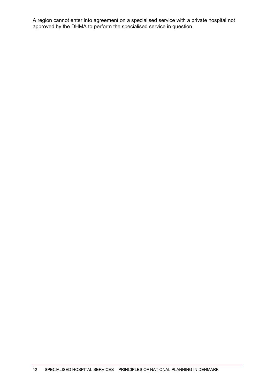A region cannot enter into agreement on a specialised service with a private hospital not approved by the DHMA to perform the specialised service in question.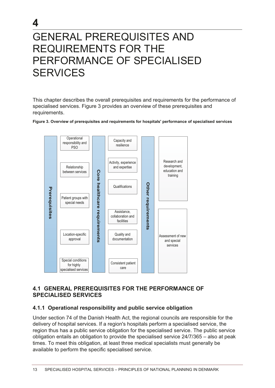# <span id="page-13-0"></span>GENERAL PREREQUISITES AND REQUIREMENTS FOR THE PERFORMANCE OF SPECIALISED SERVICES

4

This chapter describes the overall prerequisites and requirements for the performance of specialised services. Figure 3 provides an overview of these prerequisites and requirements.

#### Figure 3. Overview of prerequisites and requirements for hospitals' performance of specialised services



### <span id="page-13-1"></span>**4.1 GENERAL PREREQUISITES FOR THE PERFORMANCE OF SPECIALISED SERVICES**

### <span id="page-13-2"></span>**4.1.1 Operational responsibility and public service obligation**

Under section 74 of the Danish Health Act, the regional councils are responsible for the delivery of hospital services. If a region's hospitals perform a specialised service, the region thus has a public service obligation for the specialised service. The public service obligation entails an obligation to provide the specialised service 24/7/365 - also at peak times. To meet this obligation, at least three medical specialists must generally be available to perform the specific specialised service.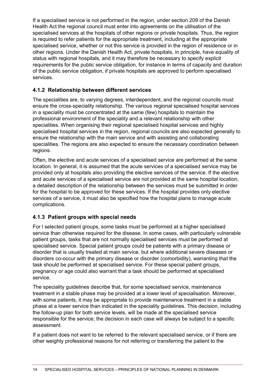If a specialised service is not performed in the region, under section 209 of the Danish Health Act the regional council must enter into agreements on the utilisation of the specialised services at the hospitals of other regions or private hospitals. Thus, the region is required to refer patients for the appropriate treatment, including at the appropriate specialised service, whether or not this service is provided in the region of residence or in other regions. Under the Danish Health Act, private hospitals, in principle, have equality of status with regional hospitals, and it may therefore be necessary to specify explicit requirements for the public service obligation, for instance in terms of capacity and duration of the public service obligation, if private hospitals are approved to perform specialised services.

### <span id="page-14-0"></span>**4.1.2 Relationship between different services**

The specialities are, to varying degrees, interdependent, and the regional councils must ensure the cross-speciality relationship. The various regional specialised hospital services in a speciality must be concentrated at the same (few) hospitals to maintain the professional environment of the speciality and a relevant relationship with other specialities. When organising their regional specialised hospital services and highly specialised hospital services in the region, regional councils are also expected generally to ensure the relationship with the main service and with assisting and collaborating specialities. The regions are also expected to ensure the necessary coordination between regions.

Often, the elective and acute services of a specialised service are performed at the same location. In general, it is assumed that the acute services of a specialised service may be provided only at hospitals also providing the elective services of the service. If the elective and acute services of a specialised service are not provided at the same hospital location, a detailed description of the relationship between the services must be submitted in order for the hospital to be approved for these services. If the hospital provides only elective services of a service, it must also be specified how the hospital plans to manage acute complications.

### <span id="page-14-1"></span>**4.1.3 Patient groups with special needs**

For l selected patient groups, some tasks must be performed at a higher specialised service than otherwise required for the disease. In some cases, with particularly vulnerable patient groups, tasks that are not normally specialised services must be performed at specialised service. Special patient groups could be patients with a primary disease or disorder that is usually treated at main service, but where additional severe diseases or disorders co-occur with the primary disease or disorder (comorbidity), warranting that the task should be performed at specialised service. For these special patient groups, pregnancy or age could also warrant that a task should be performed at specialised service.

The speciality guidelines describe that, for some specialised service, maintenance treatment in a stable phase may be provided at a lower level of specialisation. Moreover, with some patients, it may be appropriate to provide maintenance treatment in a stable phase at a lower service than indicated in the speciality guidelines. This decision, including the follow-up plan for both service levels, will be made at the specialised service responsible for the service; the decision in each case will always be subject to a specific assessment.

If a patient does not want to be referred to the relevant specialised service, or if there are other weighty professional reasons for not referring or transferring the patient to the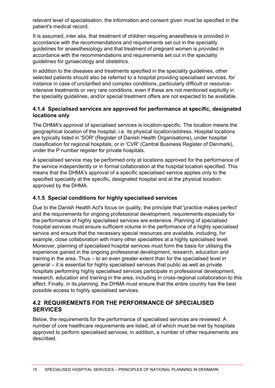relevant level of specialisation, the information and consent given must be specified in the patient's medical record.

It is assumed, inter alia, that treatment of children requiring anaesthesia is provided in accordance with the recommendations and requirements set out in the speciality guidelines for anaesthesiology and that treatment of pregnant women is provided in accordance with the recommendations and requirements set out in the speciality guidelines for gynaecology and obstetrics.

In addition to the diseases and treatments specified in the speciality guidelines, other selected patients should also be referred to a hospital providing specialised services, for instance in case of unclarified and complex conditions, particularly difficult or resourceintensive treatments or very rare conditions, even if these are not mentioned explicitly in the speciality guidelines, and/or special treatment offers are not expected to be available.

### <span id="page-15-0"></span>**4.1.4 Specialised services are approved for performance at specific, designated locations only**

The DHMA's approval of specialised services is location-specific. The location means the geographical location of the hospital, i.e. its physical location/address. Hospital locations are typically listed in 'SOR' (Register of Danish Health Organisations), under hospital classification for regional hospitals, or in 'CVR' (Central Business Register of Denmark), under the P number register for private hospitals.

A specialised service may be performed only at locations approved for the performance of the service independently or in formal collaboration at the hospital location specified. This means that the DHMA's approval of a specific specialised service applies only to the specified speciality at the specific, designated hospital and at the physical location approved by the DHMA.

### <span id="page-15-1"></span>**4.1.5 Special conditions for highly specialised services**

Due to the Danish Health Act's focus on quality, the principle that 'practice makes perfect' and the requirements for ongoing professional development, requirements especially for the performance of highly specialised services are extensive. Planning of specialised hospital services must ensure sufficient volume in the performance of a highly specialised service and ensure that the necessary special resources are available, including, for example, close collaboration with many other specialities at a highly specialised level. Moreover, planning of specialised hospital services must form the basis for utilising the experience gained in the ongoing professional development, research, education and training in the area. Thus – to an even greater extent than for the specialised level in general – it is essential for highly specialised services that public as well as private hospitals performing highly specialised services participate in professional development, research, education and training in the area, including in cross-regional collaboration to this effect. Finally, in its planning, the DHMA must ensure that the entire country has the best possible access to highly specialised services.

### <span id="page-15-2"></span>**4.2 REQUIREMENTS FOR THE PERFORMANCE OF SPECIALISED SERVICES**

Below, the requirements for the performance of specialised services are reviewed. A number of core healthcare requirements are listed, all of which must be met by hospitals approved to perform specialised services; in addition, a number of other requirements are described.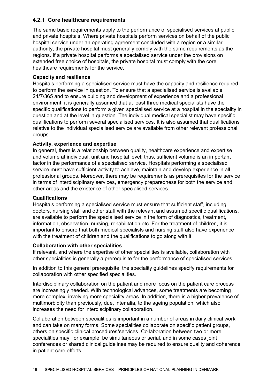### <span id="page-16-0"></span>**4.2.1 Core healthcare requirements**

The same basic requirements apply to the performance of specialised services at public and private hospitals. Where private hospitals perform services on behalf of the public hospital service under an operating agreement concluded with a region or a similar authority, the private hospital must generally comply with the same requirements as the regions. If a private hospital performs a specialised service under the provisions on extended free choice of hospitals, the private hospital must comply with the core healthcare requirements for the service.

### **Capacity and resilience**

Hospitals performing a specialised service must have the capacity and resilience required to perform the service in question. To ensure that a specialised service is available 24/7/365 and to ensure building and development of experience and a professional environment, it is generally assumed that at least three medical specialists have the specific qualifications to perform a given specialised service at a hospital in the speciality in question and at the level in question. The individual medical specialist may have specific qualifications to perform several specialised services. It is also assumed that qualifications relative to the individual specialised service are available from other relevant professional groups.

### **Activity, experience and expertise**

In general, there is a relationship between quality, healthcare experience and expertise and volume at individual, unit and hospital level; thus, sufficient volume is an important factor in the performance of a specialised service. Hospitals performing a specialised service must have sufficient activity to achieve, maintain and develop experience in all professional groups. Moreover, there may be requirements as prerequisites for the service in terms of interdisciplinary services, emergency preparedness for both the service and other areas and the existence of other specialised services.

#### **Qualifications**

Hospitals performing a specialised service must ensure that sufficient staff, including doctors, nursing staff and other staff with the relevant and assumed specific qualifications, are available to perform the specialised service in the form of diagnostics, treatment, information, observation, nursing, rehabilitation etc. For the treatment of children, it is important to ensure that both medical specialists and nursing staff also have experience with the treatment of children and the qualifications to go along with it.

#### **Collaboration with other specialities**

If relevant, and where the expertise of other specialities is available, collaboration with other specialities is generally a prerequisite for the performance of specialised services.

In addition to this general prerequisite, the speciality guidelines specify requirements for collaboration with other specified specialities.

Interdisciplinary collaboration on the patient and more focus on the patient care process are increasingly needed. With technological advances, some treatments are becoming more complex, involving more speciality areas. In addition, there is a higher prevalence of multimorbidity than previously, due, inter alia, to the ageing population, which also increases the need for interdisciplinary collaboration.

Collaboration between specialities is important in a number of areas in daily clinical work and can take on many forms. Some specialities collaborate on specific patient groups, others on specific clinical procedures/services. Collaboration between two or more specialities may, for example, be simultaneous or serial, and in some cases joint conferences or shared clinical guidelines may be required to ensure quality and coherence in patient care efforts.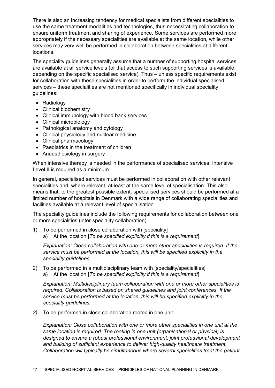There is also an increasing tendency for medical specialists from different specialities to use the same treatment modalities and technologies, thus necessitating collaboration to ensure uniform treatment and sharing of experience. Some services are performed more appropriately if the necessary specialities are available at the same location, while other services may very well be performed in collaboration between specialities at different locations.

The speciality guidelines generally assume that a number of supporting hospital services are available at all service levels (or that access to such supporting services is available, depending on the specific specialised service). Thus – unless specific requirements exist for collaboration with these specialities in order to perform the individual specialised services – these specialities are not mentioned specifically in individual speciality guidelines:

- Radiology
- Clinical biochemistry
- Clinical immunology with blood bank services
- Clinical microbiology
- Pathological anatomy and cytology
- Clinical physiology and nuclear medicine
- Clinical pharmacology
- Paediatrics in the treatment of children
- Anaesthesiology in surgery

When intensive therapy is needed in the performance of specialised services, Intensive Level II is required as a minimum.

In general, specialised services must be performed in collaboration with other relevant specialities and, where relevant, at least at the same level of specialisation. This also means that, to the greatest possible extent, specialised services should be performed at a limited number of hospitals in Denmark with a wide range of collaborating specialities and facilities available at a relevant level of specialisation.

The speciality guidelines include the following requirements for collaboration between one or more specialities (inter-speciality collaboration):

- 1) To be performed in close collaboration with [speciality]
	- a) At the location [*To be specified explicitly if this is a requirement*]

*Explanation: Close collaboration with one or more other specialities is required. If the service must be performed at the location, this will be specified explicitly in the speciality guidelines.*

2) To be performed in a multidisciplinary team with [speciality/specialities] a) At the location [*To be specified explicitly if this is a requirement*]

*Explanation: Multidisciplinary team collaboration with one or more other specialities is required. Collaboration is based on shared guidelines and joint conferences. If the service must be performed at the location, this will be specified explicitly in the speciality guidelines.*

*3)* To be performed in close collaboration rooted in one unit

*Explanation: Close collaboration with one or more other specialities in one unit at the same location is required. The rooting in one unit (organisational or physical) is designed to ensure a robust professional environment, joint professional development and building of sufficient experience to deliver high-quality healthcare treatment. Collaboration will typically be simultaneous where several specialities treat the patient*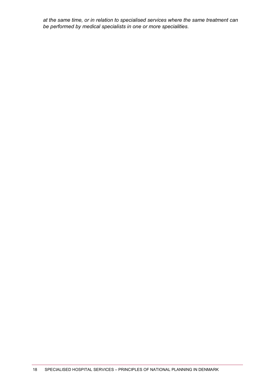*at the same time, or in relation to specialised services where the same treatment can be performed by medical specialists in one or more specialities.*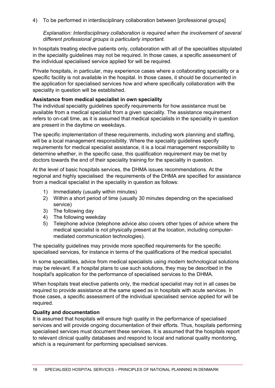4) To be performed in interdisciplinary collaboration between [professional groups]

*Explanation: Interdisciplinary collaboration is required when the involvement of several different professional groups is particularly important.* 

In hospitals treating elective patients only, collaboration with all of the specialities stipulated in the speciality guidelines may not be required. In those cases, a specific assessment of the individual specialised service applied for will be required.

Private hospitals, in particular, may experience cases where a collaborating speciality or a specific facility is not available in the hospital. In those cases, it should be documented in the application for specialised services how and where specifically collaboration with the speciality in question will be established.

### **Assistance from medical specialist in own speciality**

The individual speciality guidelines specify requirements for how assistance must be available from a medical specialist from a given speciality. The assistance requirement refers to on-call time, as it is assumed that medical specialists in the speciality in question are present in the daytime on weekdays.

The specific implementation of these requirements, including work planning and staffing, will be a local management responsibility. Where the speciality guidelines specify requirements for medical specialist assistance, it is a local management responsibility to determine whether, in the specific case, this qualification requirement may be met by doctors towards the end of their speciality training for the speciality in question.

At the level of basic hospitals services, the DHMA issues recommendations. At the regional and highly specialised the requirements of the DHMA are specified for assistance from a medical specialist in the speciality in question as follows:

- 1) Immediately (usually within minutes)
- 2) Within a short period of time (usually 30 minutes depending on the specialised service)
- 3) The following day
- 4) The following weekday
- 5) Telephone advice (telephone advice also covers other types of advice where the medical specialist is not physically present at the location, including computermediated communication technologies).

The speciality guidelines may provide more specified requirements for the specific specialised services, for instance in terms of the qualifications of the medical specialist.

In some specialities, advice from medical specialists using modern technological solutions may be relevant. If a hospital plans to use such solutions, they may be described in the hospital's application for the performance of specialised services to the DHMA.

When hospitals treat elective patients only, the medical specialist may not in all cases be required to provide assistance at the same speed as in hospitals with acute services. In those cases, a specific assessment of the individual specialised service applied for will be required.

#### **Quality and documentation**

It is assumed that hospitals will ensure high quality in the performance of specialised services and will provide ongoing documentation of their efforts. Thus, hospitals performing specialised services must document these services. It is assumed that the hospitals report to relevant clinical quality databases and respond to local and national quality monitoring, which is a requirement for performing specialised services.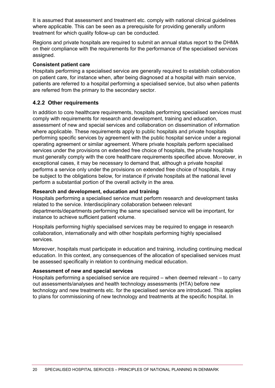It is assumed that assessment and treatment etc. comply with national clinical guidelines where applicable. This can be seen as a prerequisite for providing generally uniform treatment for which quality follow-up can be conducted.

Regions and private hospitals are required to submit an annual status report to the DHMA on their compliance with the requirements for the performance of the specialised services assigned.

### **Consistent patient care**

Hospitals performing a specialised service are generally required to establish collaboration on patient care, for instance when, after being diagnosed at a hospital with main service, patients are referred to a hospital performing a specialised service, but also when patients are referred from the primary to the secondary sector.

### <span id="page-20-0"></span>**4.2.2 Other requirements**

In addition to core healthcare requirements, hospitals performing specialised services must comply with requirements for research and development, training and education, assessment of new and special services and collaboration on dissemination of information where applicable. These requirements apply to public hospitals and private hospitals performing specific services by agreement with the public hospital service under a regional operating agreement or similar agreement. Where private hospitals perform specialised services under the provisions on extended free choice of hospitals, the private hospitals must generally comply with the core healthcare requirements specified above. Moreover, in exceptional cases, it may be necessary to demand that, although a private hospital performs a service only under the provisions on extended free choice of hospitals, it may be subject to the obligations below, for instance if private hospitals at the national level perform a substantial portion of the overall activity in the area.

### **Research and development, education and training**

Hospitals performing a specialised service must perform research and development tasks related to the service. Interdisciplinary collaboration between relevant departments/departments performing the same specialised service will be important, for instance to achieve sufficient patient volume.

Hospitals performing highly specialised services may be required to engage in research collaboration, internationally and with other hospitals performing highly specialised services.

Moreover, hospitals must participate in education and training, including continuing medical education. In this context, any consequences of the allocation of specialised services must be assessed specifically in relation to continuing medical education.

### **Assessment of new and special services**

Hospitals performing a specialised service are required – when deemed relevant – to carry out assessments/analyses and health technology assessments (HTA) before new technology and new treatments etc. for the specialised service are introduced. This applies to plans for commissioning of new technology and treatments at the specific hospital. In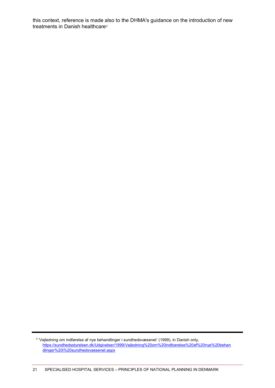this context, reference is made also to the DHMA's guidance on the introduction of new treatments in Danish healthcare<sup>3</sup>

<sup>3</sup> 'Vejledning om indførelse af nye behandlinger i sundhedsvæsenet' (1999), in Danish only, [https://sundhedsstyrelsen.dk/Udgivelser/1999/Vejledning%20om%20indfoerelse%20af%20nye%20behan](https://sundhedsstyrelsen.dk/Udgivelser/1999/Vejledning%20om%20indfoerelse%20af%20nye%20behandlinger%20i%20sundhedsvaesenet.aspx) [dlinger%20i%20sundhedsvaesenet.aspx](https://sundhedsstyrelsen.dk/Udgivelser/1999/Vejledning%20om%20indfoerelse%20af%20nye%20behandlinger%20i%20sundhedsvaesenet.aspx)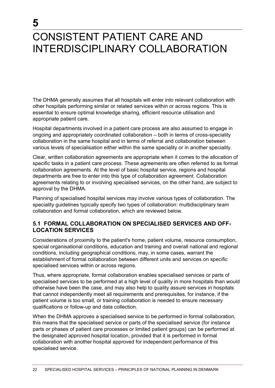# <span id="page-22-0"></span>CONSISTENT PATIENT CARE AND INTERDISCIPLINARY COLLABORATION

**5**

The DHMA generally assumes that all hospitals will enter into relevant collaboration with other hospitals performing similar or related services within or across regions. This is essential to ensure optimal knowledge sharing, efficient resource utilisation and appropriate patient care.

Hospital departments involved in a patient care process are also assumed to engage in ongoing and appropriately coordinated collaboration – both in terms of cross-speciality collaboration in the same hospital and in terms of referral and collaboration between various levels of specialisation either within the same speciality or in another speciality.

Clear, written collaboration agreements are appropriate when it comes to the allocation of specific tasks in a patient care process. These agreements are often referred to as formal collaboration agreements. At the level of basic hospital service, regions and hospital departments are free to enter into this type of collaboration agreement. Collaboration agreements relating to or involving specialised services, on the other hand, are subject to approval by the DHMA.

Planning of specialised hospital services may involve various types of collaboration. The speciality guidelines typically specify two types of collaboration: multidisciplinary team collaboration and formal collaboration, which are reviewed below.

### <span id="page-22-1"></span>**5.1 FORMAL COLLABORATION ON SPECIALISED SERVICES AND OFF-LOCATION SERVICES**

Considerations of proximity to the patient's home, patient volume, resource consumption, special organisational conditions, education and training and overall national and regional conditions, including geographical conditions, may, in some cases, warrant the establishment of formal collaboration between different units and services on specific specialised services within or across regions.

Thus, where appropriate, formal collaboration enables specialised services or parts of specialised services to be performed at a high level of quality in more hospitals than would otherwise have been the case, and may also help to quality assure services in hospitals that cannot independently meet all requirements and prerequisites, for instance, if the patient volume is too small, or training collaboration is needed to ensure necessary qualifications or follow-up and data collection.

When the DHMA approves a specialised service to be performed in formal collaboration, this means that the specialised service or parts of the specialised service (for instance parts or phases of patient care processes or limited patient groups) can be performed at the designated approved hospital location, provided that it is performed in formal collaboration with another hospital approved for independent performance of this specialised service.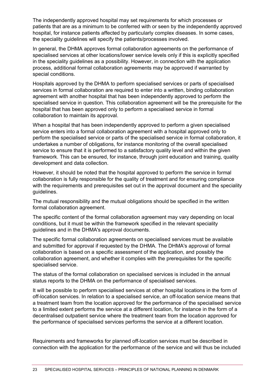The independently approved hospital may set requirements for which processes or patients that are as a minimum to be conferred with or seen by the independently approved hospital, for instance patients affected by particularly complex diseases. In some cases, the speciality guidelines will specify the patients/processes involved.

In general, the DHMA approves formal collaboration agreements on the performance of specialised services at other locations/lower service levels only if this is explicitly specified in the speciality guidelines as a possibility. However, in connection with the application process, additional formal collaboration agreements may be approved if warranted by special conditions.

Hospitals approved by the DHMA to perform specialised services or parts of specialised services in formal collaboration are required to enter into a written, binding collaboration agreement with another hospital that has been independently approved to perform the specialised service in question. This collaboration agreement will be the prerequisite for the hospital that has been approved only to perform a specialised service in formal collaboration to maintain its approval.

When a hospital that has been independently approved to perform a given specialised service enters into a formal collaboration agreement with a hospital approved only to perform the specialised service or parts of the specialised service in formal collaboration, it undertakes a number of obligations, for instance monitoring of the overall specialised service to ensure that it is performed to a satisfactory quality level and within the given framework. This can be ensured, for instance, through joint education and training, quality development and data collection.

However, it should be noted that the hospital approved to perform the service in formal collaboration is fully responsible for the quality of treatment and for ensuring compliance with the requirements and prerequisites set out in the approval document and the speciality guidelines.

The mutual responsibility and the mutual obligations should be specified in the written formal collaboration agreement.

The specific content of the formal collaboration agreement may vary depending on local conditions, but it must be within the framework specified in the relevant speciality guidelines and in the DHMA's approval documents.

The specific formal collaboration agreements on specialised services must be available and submitted for approval if requested by the DHMA. The DHMA's approval of formal collaboration is based on a specific assessment of the application, and possibly the collaboration agreement, and whether it complies with the prerequisites for the specific specialised service.

The status of the formal collaboration on specialised services is included in the annual status reports to the DHMA on the performance of specialised services.

It will be possible to perform specialised services at other hospital locations in the form of off-location services. In relation to a specialised service, an off-location service means that a treatment team from the location approved for the performance of the specialised service to a limited extent performs the service at a different location, for instance in the form of a decentralised outpatient service where the treatment team from the location approved for the performance of specialised services performs the service at a different location.

Requirements and frameworks for planned off-location services must be described in connection with the application for the performance of the service and will thus be included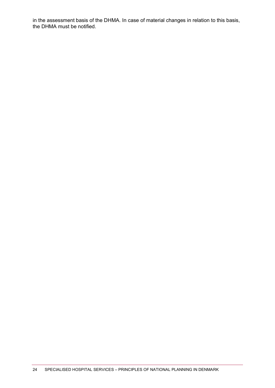in the assessment basis of the DHMA. In case of material changes in relation to this basis, the DHMA must be notified.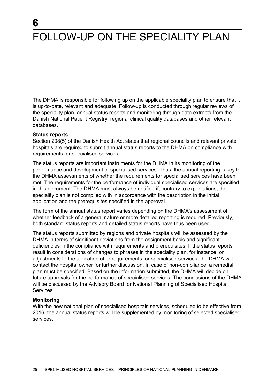# <span id="page-25-0"></span>FOLLOW-UP ON THE SPECIALITY PLAN

The DHMA is responsible for following up on the applicable speciality plan to ensure that it is up-to-date, relevant and adequate. Follow-up is conducted through regular reviews of the speciality plan, annual status reports and monitoring through data extracts from the Danish National Patient Registry, regional clinical quality databases and other relevant databases.

#### **Status reports**

**6**

Section 208(5) of the Danish Health Act states that regional councils and relevant private hospitals are required to submit annual status reports to the DHMA on compliance with requirements for specialised services.

The status reports are important instruments for the DHMA in its monitoring of the performance and development of specialised services. Thus, the annual reporting is key to the DHMA assessments of whether the requirements for specialised services have been met. The requirements for the performance of individual specialised services are specified in this document. The DHMA must always be notified if, contrary to expectations, the speciality plan is not complied with in accordance with the description in the initial application and the prerequisites specified in the approval.

The form of the annual status report varies depending on the DHMA's assessment of whether feedback of a general nature or more detailed reporting is required. Previously, both standard status reports and detailed status reports have thus been used.

The status reports submitted by regions and private hospitals will be assessed by the DHMA in terms of significant deviations from the assignment basis and significant deficiencies in the compliance with requirements and prerequisites. If the status reports result in considerations of changes to phrases in the speciality plan, for instance, or adjustments to the allocation of or requirements for specialised services, the DHMA will contact the hospital owner for further discussion. In case of non-compliance, a remedial plan must be specified. Based on the information submitted, the DHMA will decide on future approvals for the performance of specialised services. The conclusions of the DHMA will be discussed by the Advisory Board for National Planning of Specialised Hospital Services.

#### **Monitoring**

With the new national plan of specialised hospitals services, scheduled to be effective from 2016, the annual status reports will be supplemented by monitoring of selected specialised services.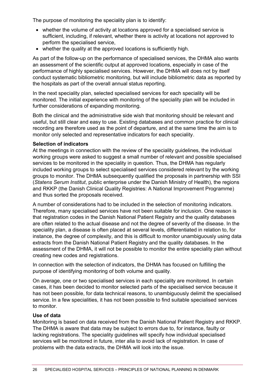The purpose of monitoring the speciality plan is to identify:

- whether the volume of activity at locations approved for a specialised service is sufficient, including, if relevant, whether there is activity at locations not approved to perform the specialised service,
- whether the quality at the approved locations is sufficiently high.

As part of the follow-up on the performance of specialised services, the DHMA also wants an assessment of the scientific output at approved locations, especially in case of the performance of highly specialised services. However, the DHMA will does not by itself conduct systematic bibliometric monitoring, but will include bibliometric data as reported by the hospitals as part of the overall annual status reporting.

In the next speciality plan, selected specialised services for each speciality will be monitored. The initial experience with monitoring of the speciality plan will be included in further considerations of expanding monitoring.

Both the clinical and the administrative side wish that monitoring should be relevant and useful, but still clear and easy to use. Existing databases and common practice for clinical recording are therefore used as the point of departure, and at the same time the aim is to monitor only selected and representative indicators for each speciality.

### **Selection of indicators**

At the meetings in connection with the review of the speciality guidelines, the individual working groups were asked to suggest a small number of relevant and possible specialised services to be monitored in the speciality in question. Thus, the DHMA has regularly included working groups to select specialised services considered relevant by the working groups to monitor. The DHMA subsequently qualified the proposals in partnership with SSI (*Statens Serum Institut*, public enterprise under the Danish Ministry of Health), the regions and RKKP (the Danish Clinical Quality Registries: A National Improvement Programme) and thus sorted the proposals received.

A number of considerations had to be included in the selection of monitoring indicators. Therefore, many specialised services have not been suitable for inclusion. One reason is that registration codes in the Danish National Patient Registry and the quality databases are often related to the actual disease and not the degree of severity of the disease. In the speciality plan, a disease is often placed at several levels, differentiated in relation to, for instance, the degree of complexity, and this is difficult to monitor unambiguously using data extracts from the Danish National Patient Registry and the quality databases. In the assessment of the DHMA, it will not be possible to monitor the entire speciality plan without creating new codes and registrations.

In connection with the selection of indicators, the DHMA has focused on fulfilling the purpose of identifying monitoring of both volume and quality.

On average, one or two specialised services in each speciality are monitored. In certain cases, it has been decided to monitor selected parts of the specialised service because it has not been possible, for data technical reasons, to unambiguously delimit the specialised service. In a few specialities, it has not been possible to find suitable specialised services to monitor.

#### **Use of data**

Monitoring is based on data received from the Danish National Patient Registry and RKKP. The DHMA is aware that data may be subject to errors due to, for instance, faulty or lacking registrations. The speciality guidelines will specify how individual specialised services will be monitored in future, inter alia to avoid lack of registration. In case of problems with the data extracts, the DHMA will look into the issue.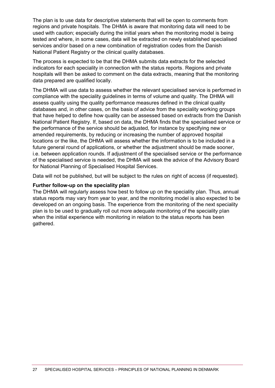The plan is to use data for descriptive statements that will be open to comments from regions and private hospitals. The DHMA is aware that monitoring data will need to be used with caution; especially during the initial years when the monitoring model is being tested and where, in some cases, data will be extracted on newly established specialised services and/or based on a new combination of registration codes from the Danish National Patient Registry or the clinical quality databases.

The process is expected to be that the DHMA submits data extracts for the selected indicators for each speciality in connection with the status reports. Regions and private hospitals will then be asked to comment on the data extracts, meaning that the monitoring data prepared are qualified locally.

The DHMA will use data to assess whether the relevant specialised service is performed in compliance with the speciality guidelines in terms of volume and quality. The DHMA will assess quality using the quality performance measures defined in the clinical quality databases and, in other cases, on the basis of advice from the speciality working groups that have helped to define how quality can be assessed based on extracts from the Danish National Patient Registry. If, based on data, the DHMA finds that the specialised service or the performance of the service should be adjusted, for instance by specifying new or amended requirements, by reducing or increasing the number of approved hospital locations or the like, the DHMA will assess whether the information is to be included in a future general round of applications, or whether the adjustment should be made sooner, i.e. between application rounds. If adjustment of the specialised service or the performance of the specialised service is needed, the DHMA will seek the advice of the Advisory Board for National Planning of Specialised Hospital Services.

Data will not be published, but will be subject to the rules on right of access (if requested).

### **Further follow-up on the speciality plan**

The DHMA will regularly assess how best to follow up on the speciality plan. Thus, annual status reports may vary from year to year, and the monitoring model is also expected to be developed on an ongoing basis. The experience from the monitoring of the next speciality plan is to be used to gradually roll out more adequate monitoring of the speciality plan when the initial experience with monitoring in relation to the status reports has been gathered.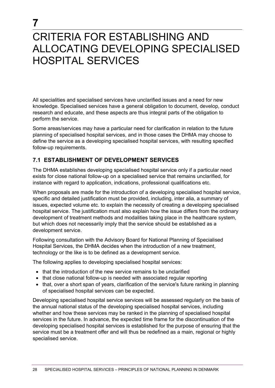# <span id="page-28-0"></span>CRITERIA FOR ESTABLISHING AND ALLOCATING DEVELOPING SPECIALISED HOSPITAL SERVICES

All specialities and specialised services have unclarified issues and a need for new knowledge. Specialised services have a general obligation to document, develop, conduct research and educate, and these aspects are thus integral parts of the obligation to perform the service.

Some areas/services may have a particular need for clarification in relation to the future planning of specialised hospital services, and in those cases the DHMA may choose to define the service as a developing specialised hospital services, with resulting specified follow-up requirements.

### <span id="page-28-1"></span>**7.1 ESTABLISHMENT OF DEVELOPMENT SERVICES**

The DHMA establishes developing specialised hospital service only if a particular need exists for close national follow-up on a specialised service that remains unclarified, for instance with regard to application, indications, professional qualifications etc.

When proposals are made for the introduction of a developing specialised hospital service, specific and detailed justification must be provided, including, inter alia, a summary of issues, expected volume etc. to explain the necessity of creating a developing specialised hospital service. The justification must also explain how the issue differs from the ordinary development of treatment methods and modalities taking place in the healthcare system, but which does not necessarily imply that the service should be established as a development service.

Following consultation with the Advisory Board for National Planning of Specialised Hospital Services, the DHMA decides when the introduction of a new treatment, technology or the like is to be defined as a development service.

The following applies to developing specialised hospital services:

- that the introduction of the new service remains to be unclarified
- that close national follow-up is needed with associated regular reporting
- that, over a short span of years, clarification of the service's future ranking in planning of specialised hospital services can be expected.

Developing specialised hospital service services will be assessed regularly on the basis of the annual national status of the developing specialised hospital services, including whether and how these services may be ranked in the planning of specialised hospital services in the future. In advance, the expected time frame for the discontinuation of the developing specialised hospital services is established for the purpose of ensuring that the service must be a treatment offer and will thus be redefined as a main, regional or highly specialised service.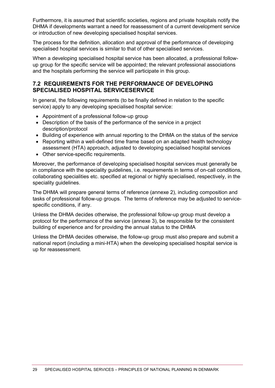Furthermore, it is assumed that scientific societies, regions and private hospitals notify the DHMA if developments warrant a need for reassessment of a current development service or introduction of new developing specialised hospital services.

The process for the definition, allocation and approval of the performance of developing specialised hospital services is similar to that of other specialised services.

When a developing specialised hospital service has been allocated, a professional followup group for the specific service will be appointed; the relevant professional associations and the hospitals performing the service will participate in this group.

### <span id="page-29-0"></span>**7.2 REQUIREMENTS FOR THE PERFORMANCE OF DEVELOPING SPECIALISED HOSPITAL SERVICESERVICE**

In general, the following requirements (to be finally defined in relation to the specific service) apply to any developing specialised hospital service:

- Appointment of a professional follow-up group
- Description of the basis of the performance of the service in a project description/protocol
- Building of experience with annual reporting to the DHMA on the status of the service
- Reporting within a well-defined time frame based on an adapted health technology assessment (HTA) approach, adjusted to developing specialised hospital services
- Other service-specific requirements.

Moreover, the performance of developing specialised hospital services must generally be in compliance with the speciality guidelines, i.e. requirements in terms of on-call conditions, collaborating specialities etc. specified at regional or highly specialised, respectively, in the speciality guidelines.

The DHMA will prepare general terms of reference (annexe 2), including composition and tasks of professional follow-up groups. The terms of reference may be adjusted to servicespecific conditions, if any.

Unless the DHMA decides otherwise, the professional follow-up group must develop a protocol for the performance of the service (annexe 3), be responsible for the consistent building of experience and for providing the annual status to the DHMA

Unless the DHMA decides otherwise, the follow-up group must also prepare and submit a national report (including a mini-HTA) when the developing specialised hospital service is up for reassessment.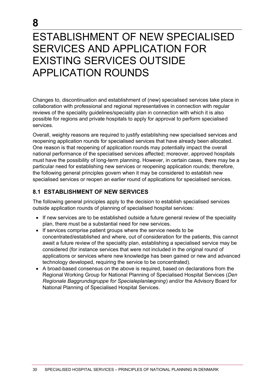# <span id="page-30-0"></span>ESTABLISHMENT OF NEW SPECIALISED SERVICES AND APPLICATION FOR EXISTING SERVICES OUTSIDE APPLICATION ROUNDS

Changes to, discontinuation and establishment of (new) specialised services take place in collaboration with professional and regional representatives in connection with regular reviews of the speciality guidelines/speciality plan in connection with which it is also possible for regions and private hospitals to apply for approval to perform specialised services.

Overall, weighty reasons are required to justify establishing new specialised services and reopening application rounds for specialised services that have already been allocated. One reason is that reopening of application rounds may potentially impact the overall national performance of the specialised services affected; moreover, approved hospitals must have the possibility of long-term planning. However, in certain cases, there may be a particular need for establishing new services or reopening application rounds; therefore, the following general principles govern when it may be considered to establish new specialised services or reopen an earlier round of applications for specialised services.

### <span id="page-30-1"></span>**8.1 ESTABLISHMENT OF NEW SERVICES**

The following general principles apply to the decision to establish specialised services outside application rounds of planning of specialised hospital services:

- If new services are to be established outside a future general review of the speciality plan, there must be a substantial need for new services.
- If services comprise patient groups where the service needs to be concentrated/established and where, out of consideration for the patients, this cannot await a future review of the speciality plan, establishing a specialised service may be considered (for instance services that were not included in the original round of applications or services where new knowledge has been gained or new and advanced technology developed, requiring the service to be concentrated).
- A broad-based consensus on the above is required, based on declarations from the Regional Working Group for National Planning of Specialised Hospital Services (*Den Regionale Baggrundsgruppe for Specialeplanlægning*) and/or the Advisory Board for National Planning of Specialised Hospital Services.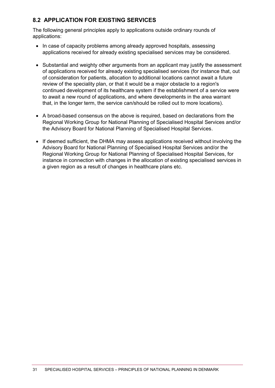### <span id="page-31-0"></span>**8.2 APPLICATION FOR EXISTING SERVICES**

The following general principles apply to applications outside ordinary rounds of applications:

- In case of capacity problems among already approved hospitals, assessing applications received for already existing specialised services may be considered.
- Substantial and weighty other arguments from an applicant may justify the assessment of applications received for already existing specialised services (for instance that, out of consideration for patients, allocation to additional locations cannot await a future review of the speciality plan, or that it would be a major obstacle to a region's continued development of its healthcare system if the establishment of a service were to await a new round of applications, and where developments in the area warrant that, in the longer term, the service can/should be rolled out to more locations).
- A broad-based consensus on the above is required, based on declarations from the Regional Working Group for National Planning of Specialised Hospital Services and/or the Advisory Board for National Planning of Specialised Hospital Services.
- If deemed sufficient, the DHMA may assess applications received without involving the Advisory Board for National Planning of Specialised Hospital Services and/or the Regional Working Group for National Planning of Specialised Hospital Services, for instance in connection with changes in the allocation of existing specialised services in a given region as a result of changes in healthcare plans etc.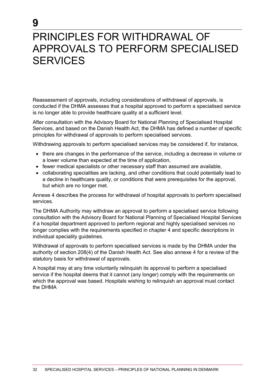# <span id="page-32-0"></span>PRINCIPLES FOR WITHDRAWAL OF APPROVALS TO PERFORM SPECIALISED **SERVICES**

**9**

Reassessment of approvals, including considerations of withdrawal of approvals, is conducted if the DHMA assesses that a hospital approved to perform a specialised service is no longer able to provide healthcare quality at a sufficient level.

After consultation with the Advisory Board for National Planning of Specialised Hospital Services, and based on the Danish Health Act, the DHMA has defined a number of specific principles for withdrawal of approvals to perform specialised services.

Withdrawing approvals to perform specialised services may be considered if, for instance,

- there are changes in the performance of the service, including a decrease in volume or a lower volume than expected at the time of application,
- fewer medical specialists or other necessary staff than assumed are available.
- collaborating specialities are lacking, and other conditions that could potentially lead to a decline in healthcare quality, or conditions that were prerequisites for the approval, but which are no longer met.

Annexe 4 describes the process for withdrawal of hospital approvals to perform specialised services.

The DHMA Authority may withdraw an approval to perform a specialised service following consultation with the Advisory Board for National Planning of Specialised Hospital Services if a hospital department approved to perform regional and highly specialised services no longer complies with the requirements specified in chapter 4 and specific descriptions in individual speciality guidelines.

Withdrawal of approvals to perform specialised services is made by the DHMA under the authority of section 208(4) of the Danish Health Act. See also annexe 4 for a review of the statutory basis for withdrawal of approvals.

A hospital may at any time voluntarily relinquish its approval to perform a specialised service if the hospital deems that it cannot (any longer) comply with the requirements on which the approval was based. Hospitals wishing to relinquish an approval must contact the DHMA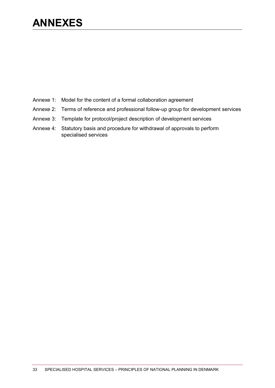# <span id="page-33-0"></span>**ANNEXES**

- Annexe 1: Model for the content of a formal collaboration agreement
- Annexe 2: Terms of reference and professional follow-up group for development services
- Annexe 3: Template for protocol/project description of development services
- Annexe 4: Statutory basis and procedure for withdrawal of approvals to perform specialised services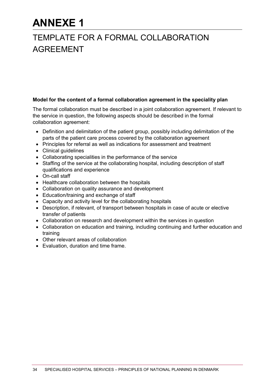# **ANNEXE 1**

## <span id="page-34-0"></span>**TEMPLATE FOR A FORMAL COLLABORATION** AGREEMENT

### **Model for the content of a formal collaboration agreement in the speciality plan**

The formal collaboration must be described in a joint collaboration agreement. If relevant to the service in question, the following aspects should be described in the formal collaboration agreement:

- Definition and delimitation of the patient group, possibly including delimitation of the parts of the patient care process covered by the collaboration agreement
- Principles for referral as well as indications for assessment and treatment
- Clinical guidelines
- Collaborating specialities in the performance of the service
- Staffing of the service at the collaborating hospital, including description of staff qualifications and experience
- On-call staff
- Healthcare collaboration between the hospitals
- Collaboration on quality assurance and development
- Education/training and exchange of staff
- Capacity and activity level for the collaborating hospitals
- Description, if relevant, of transport between hospitals in case of acute or elective transfer of patients
- Collaboration on research and development within the services in question
- Collaboration on education and training, including continuing and further education and training
- Other relevant areas of collaboration
- Evaluation, duration and time frame.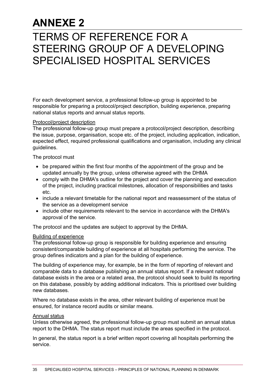# **ANNEXE 2**

# <span id="page-35-0"></span>**TERMS OF REFERENCE FOR A** STEERING GROUP OF A DEVELOPING SPECIALISED HOSPITAL SERVICES

For each development service, a professional follow-up group is appointed to be responsible for preparing a protocol/project description, building experience, preparing national status reports and annual status reports.

### Protocol/project description

The professional follow-up group must prepare a protocol/project description, describing the issue, purpose, organisation, scope etc. of the project, including application, indication, expected effect, required professional qualifications and organisation, including any clinical guidelines.

The protocol must

- be prepared within the first four months of the appointment of the group and be updated annually by the group, unless otherwise agreed with the DHMA
- comply with the DHMA's outline for the project and cover the planning and execution of the project, including practical milestones, allocation of responsibilities and tasks etc.
- include a relevant timetable for the national report and reassessment of the status of the service as a development service
- include other requirements relevant to the service in accordance with the DHMA's approval of the service.

The protocol and the updates are subject to approval by the DHMA.

### Building of experience

The professional follow-up group is responsible for building experience and ensuring consistent/comparable building of experience at all hospitals performing the service. The group defines indicators and a plan for the building of experience.

The building of experience may, for example, be in the form of reporting of relevant and comparable data to a database publishing an annual status report. If a relevant national database exists in the area or a related area, the protocol should seek to build its reporting on this database, possibly by adding additional indicators. This is prioritised over building new databases.

Where no database exists in the area, other relevant building of experience must be ensured, for instance record audits or similar means.

### Annual status

Unless otherwise agreed, the professional follow-up group must submit an annual status report to the DHMA. The status report must include the areas specified in the protocol.

In general, the status report is a brief written report covering all hospitals performing the service.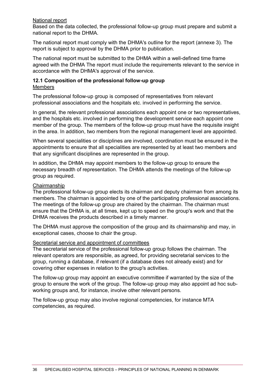### National report

Based on the data collected, the professional follow-up group must prepare and submit a national report to the DHMA.

The national report must comply with the DHMA's outline for the report (annexe 3). The report is subject to approval by the DHMA prior to publication.

The national report must be submitted to the DHMA within a well-defined time frame agreed with the DHMA The report must include the requirements relevant to the service in accordance with the DHMA's approval of the service.

#### <span id="page-36-0"></span>**12.1 Composition of the professional follow-up group** Members

The professional follow-up group is composed of representatives from relevant professional associations and the hospitals etc. involved in performing the service.

In general, the relevant professional associations each appoint one or two representatives, and the hospitals etc. involved in performing the development service each appoint one member of the group. The members of the follow-up group must have the requisite insight in the area. In addition, two members from the regional management level are appointed.

When several specialities or disciplines are involved, coordination must be ensured in the appointments to ensure that all specialities are represented by at least two members and that any significant disciplines are represented in the group.

In addition, the DHMA may appoint members to the follow-up group to ensure the necessary breadth of representation. The DHMA attends the meetings of the follow-up group as required.

### Chairmanship

The professional follow-up group elects its chairman and deputy chairman from among its members. The chairman is appointed by one of the participating professional associations. The meetings of the follow-up group are chaired by the chairman. The chairman must ensure that the DHMA is, at all times, kept up to speed on the group's work and that the DHMA receives the products described in a timely manner.

The DHMA must approve the composition of the group and its chairmanship and may, in exceptional cases, choose to chair the group.

#### Secretarial service and appointment of committees

The secretarial service of the professional follow-up group follows the chairman. The relevant operators are responsible, as agreed, for providing secretarial services to the group, running a database, if relevant (if a database does not already exist) and for covering other expenses in relation to the group's activities.

The follow-up group may appoint an executive committee if warranted by the size of the group to ensure the work of the group. The follow-up group may also appoint ad hoc subworking groups and, for instance, involve other relevant persons.

The follow-up group may also involve regional competencies, for instance MTA competencies, as required.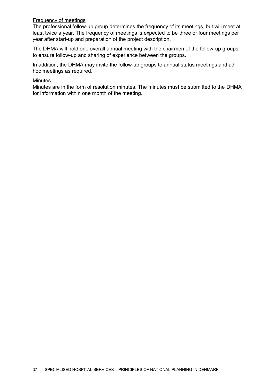### Frequency of meetings

The professional follow-up group determines the frequency of its meetings, but will meet at least twice a year. The frequency of meetings is expected to be three or four meetings per year after start-up and preparation of the project description.

The DHMA will hold one overall annual meeting with the chairmen of the follow-up groups to ensure follow-up and sharing of experience between the groups.

In addition, the DHMA may invite the follow-up groups to annual status meetings and ad hoc meetings as required.

#### Minutes

Minutes are in the form of resolution minutes. The minutes must be submitted to the DHMA for information within one month of the meeting.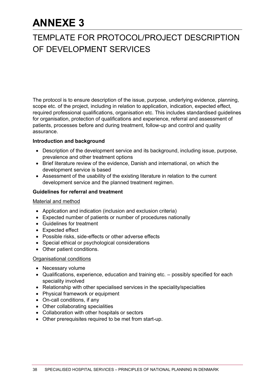# **ANNEXE 3**

### <span id="page-38-0"></span>13 TEMPLATE FOR PROTOCOL/PROJECT DESCRIPTION OF DEVELOPMENT SERVICES

The protocol is to ensure description of the issue, purpose, underlying evidence, planning, scope etc. of the project, including in relation to application, indication, expected effect, required professional qualifications, organisation etc. This includes standardised guidelines for organisation, protection of qualifications and experience, referral and assessment of patients, processes before and during treatment, follow-up and control and quality assurance.

### **Introduction and background**

- Description of the development service and its background, including issue, purpose, prevalence and other treatment options
- Brief literature review of the evidence, Danish and international, on which the development service is based
- Assessment of the usability of the existing literature in relation to the current development service and the planned treatment regimen.

### **Guidelines for referral and treatment**

#### Material and method

- Application and indication (inclusion and exclusion criteria)
- Expected number of patients or number of procedures nationally
- Guidelines for treatment
- Expected effect
- Possible risks, side-effects or other adverse effects
- Special ethical or psychological considerations
- Other patient conditions.

#### Organisational conditions

- Necessary volume
- Qualifications, experience, education and training etc. possibly specified for each speciality involved
- Relationship with other specialised services in the speciality/specialties
- Physical framework or equipment
- On-call conditions, if any
- Other collaborating specialities
- Collaboration with other hospitals or sectors
- Other prerequisites required to be met from start-up.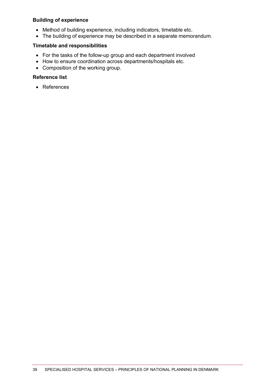### **Building of experience**

- Method of building experience, including indicators, timetable etc.
- The building of experience may be described in a separate memorandum.

### **Timetable and responsibilities**

- For the tasks of the follow-up group and each department involved
- How to ensure coordination across departments/hospitals etc.
- Composition of the working group.

### **Reference list**

• References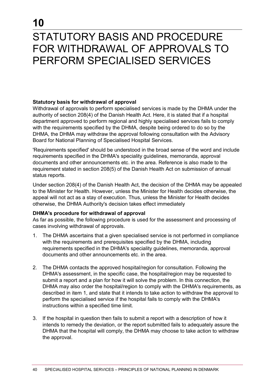# <span id="page-40-0"></span>STATUTORY BASIS AND PROCEDURE FOR WITHDRAWAL OF APPROVALS TO PERFORM SPECIALISED SERVICES

### **Statutory basis for withdrawal of approval**

Withdrawal of approvals to perform specialised services is made by the DHMA under the authority of section 208(4) of the Danish Health Act. Here, it is stated that if a hospital department approved to perform regional and highly specialised services fails to comply with the requirements specified by the DHMA, despite being ordered to do so by the DHMA, the DHMA may withdraw the approval following consultation with the Advisory Board for National Planning of Specialised Hospital Services.

'Requirements specified' should be understood in the broad sense of the word and include requirements specified in the DHMA's speciality guidelines, memoranda, approval documents and other announcements etc. in the area. Reference is also made to the requirement stated in section 208(5) of the Danish Health Act on submission of annual status reports.

Under section 208(4) of the Danish Health Act, the decision of the DHMA may be appealed to the Minister for Health. However, unless the Minister for Health decides otherwise, the appeal will not act as a stay of execution. Thus, unless the Minister for Health decides otherwise, the DHMA Authority's decision takes effect immediately

### **DHMA's procedure for withdrawal of approval**

As far as possible, the following procedure is used for the assessment and processing of cases involving withdrawal of approvals.

- 1. The DHMA ascertains that a given specialised service is not performed in compliance with the requirements and prerequisites specified by the DHMA, including requirements specified in the DHMA's speciality guidelines, memoranda, approval documents and other announcements etc. in the area.
- 2. The DHMA contacts the approved hospital/region for consultation. Following the DHMA's assessment, in the specific case, the hospital/region may be requested to submit a report and a plan for how it will solve the problem. In this connection, the DHMA may also order the hospital/region to comply with the DHMA's requirements, as described in item 1, and state that it intends to take action to withdraw the approval to perform the specialised service if the hospital fails to comply with the DHMA's instructions within a specified time limit.
- 3. If the hospital in question then fails to submit a report with a description of how it intends to remedy the deviation, or the report submitted fails to adequately assure the DHMA that the hospital will comply, the DHMA may choose to take action to withdraw the approval.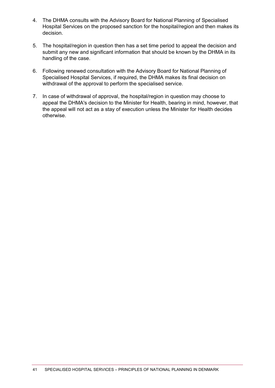- 4. The DHMA consults with the Advisory Board for National Planning of Specialised Hospital Services on the proposed sanction for the hospital/region and then makes its decision.
- 5. The hospital/region in question then has a set time period to appeal the decision and submit any new and significant information that should be known by the DHMA in its handling of the case.
- 6. Following renewed consultation with the Advisory Board for National Planning of Specialised Hospital Services, if required, the DHMA makes its final decision on withdrawal of the approval to perform the specialised service.
- 7. In case of withdrawal of approval, the hospital/region in question may choose to appeal the DHMA's decision to the Minister for Health, bearing in mind, however, that the appeal will not act as a stay of execution unless the Minister for Health decides otherwise.